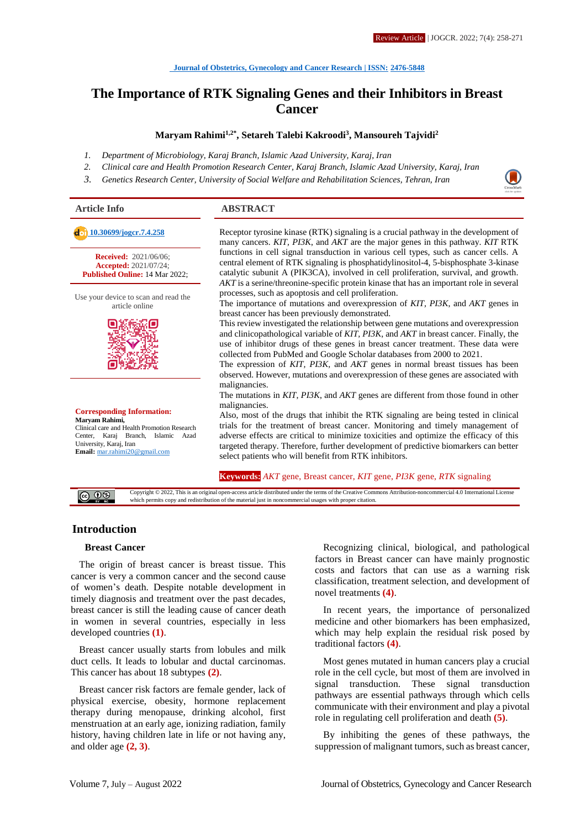# **The Importance of RTK Signaling Genes and their Inhibitors in Breast Cancer**

#### **Maryam Rahimi1,2\*, Setareh Talebi Kakroodi<sup>3</sup> , Mansoureh Tajvidi<sup>2</sup>**

- *1. Department of Microbiology, Karaj Branch, Islamic Azad University, Karaj, Iran*
- *2. Clinical care and Health Promotion Research Center, Karaj Branch, Islamic Azad University, Karaj, Iran*
- *3. Genetics Research Center, University of Social Welfare and Rehabilitation Sciences, Tehran, Iran*

#### **Article Info ABSTRACT**

**Received:** 2021/06/06; **Accepted:** 2021/07/24; **Published Online:** 14 Mar 2022;

Use your device to scan and read the article online



**Corresponding Information: Maryam Rahimi,** Clinical care and Health Promotion Research Center, Karaj Branch, Islamic Azad University, Karaj, Iran **Email:** [mar.rahimi20@gmail.com](mailto:mar.rahimi20@gmail.com)

**[10.30699/jogcr.7.4.258](http://dx.doi.org/10.30699/jogcr.7.4.258)** Receptor tyrosine kinase (RTK) signaling is a crucial pathway in the development of many cancers. *KIT, PI3K*, and *AKT* are the major genes in this pathway. *KIT* RTK functions in cell signal transduction in various cell types, such as cancer cells. A central element of RTK signaling is phosphatidylinositol-4, 5-bisphosphate 3-kinase catalytic subunit A (PIK3CA), involved in cell proliferation, survival, and growth. *AKT* is a serine/threonine-specific protein kinase that has an important role in several processes, such as apoptosis and cell proliferation.

> The importance of mutations and overexpression of *KIT, PI3K*, and *AKT* genes in breast cancer has been previously demonstrated.

> This review investigated the relationship between gene mutations and overexpression and clinicopathological variable of *KIT, PI3K*, and *AKT* in breast cancer. Finally, the use of inhibitor drugs of these genes in breast cancer treatment. These data were collected from PubMed and Google Scholar databases from 2000 to 2021.

> The expression of *KIT, PI3K,* and *AKT* genes in normal breast tissues has been observed. However, mutations and overexpression of these genes are associated with malignancies.

> The mutations in *KIT*, *PI3K*, and *AKT* genes are different from those found in other malignancies.

> Also, most of the drugs that inhibit the RTK signaling are being tested in clinical trials for the treatment of breast cancer. Monitoring and timely management of adverse effects are critical to minimize toxicities and optimize the efficacy of this targeted therapy. Therefore, further development of predictive biomarkers can better select patients who will benefit from RTK inhibitors.

**Keywords:** *AKT* gene, Breast cancer, *KIT* gene, *PI3K* gene, *RTK* signaling

Copyright © 2022, This is an original open-access article distributed under the terms of the Creative Commons Attribution-noncommercial 4.0 International License  $\circ$  0  $\circ$ which permits copy and redistribution of the material just in noncommercial usages with proper citation.

## **Introduction**

#### **Breast Cancer**

The origin of breast cancer is breast tissue. This cancer is very a common cancer and the second cause of women's death. Despite notable development in timely diagnosis and treatment over the past decades, breast cancer is still the leading cause of cancer death in women in several countries, especially in less developed countries **(1)**.

Breast cancer usually starts from lobules and milk duct cells. It leads to lobular and ductal carcinomas. This cancer has about 18 subtypes **(2)**.

Breast cancer risk factors are female gender, lack of physical exercise, obesity, hormone replacement therapy during menopause, drinking alcohol, first menstruation at an early age, ionizing radiation, family history, having children late in life or not having any, and older age **(2, 3)**.

Recognizing clinical, biological, and pathological factors in Breast cancer can have mainly prognostic costs and factors that can use as a warning risk classification, treatment selection, and development of novel treatments **(4)**.

In recent years, the importance of personalized medicine and other biomarkers has been emphasized, which may help explain the residual risk posed by traditional factors **(4)**.

Most genes mutated in human cancers play a crucial role in the cell cycle, but most of them are involved in signal transduction. These signal transduction pathways are essential pathways through which cells communicate with their environment and play a pivotal role in regulating cell proliferation and death **(5)**.

By inhibiting the genes of these pathways, the suppression of malignant tumors, such as breast cancer,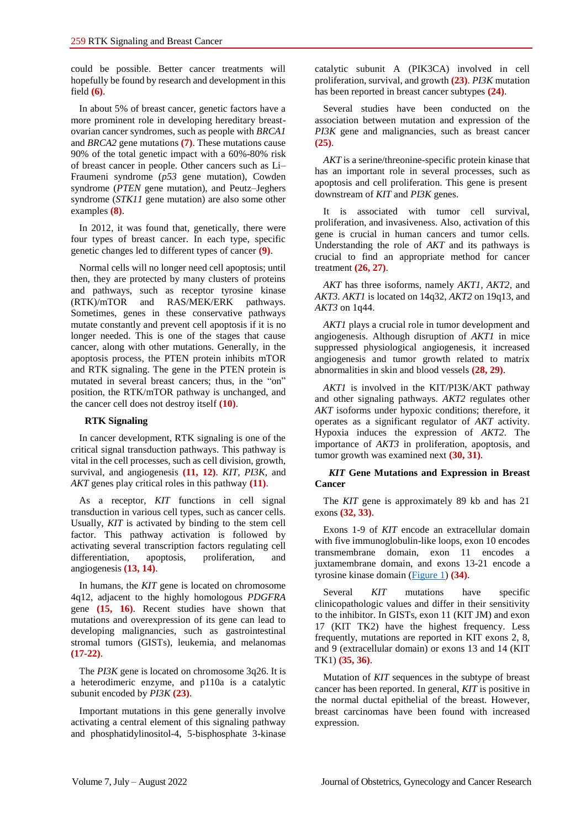could be possible. Better cancer treatments will hopefully be found by research and development in this field **(6)**.

In about 5% of breast cancer, genetic factors have a more prominent role in developing hereditary breastovarian cancer syndromes, such as people with *BRCA1* and *BRCA2* gene mutations **(7)**. These mutations cause 90% of the total genetic impact with a 60%-80% risk of breast cancer in people. Other cancers such as Li– Fraumeni syndrome (*p53* gene mutation), Cowden syndrome (*PTEN* gene mutation), and Peutz–Jeghers syndrome (*STK11* gene mutation) are also some other examples **(8)**.

In 2012, it was found that, genetically, there were four types of breast cancer. In each type, specific genetic changes led to different types of cancer **(9)**.

Normal cells will no longer need cell apoptosis; until then, they are protected by many clusters of proteins and pathways, such as receptor tyrosine kinase (RTK)/mTOR and RAS/MEK/ERK pathways. Sometimes, genes in these conservative pathways mutate constantly and prevent cell apoptosis if it is no longer needed. This is one of the stages that cause cancer, along with other mutations. Generally, in the apoptosis process, the PTEN protein inhibits mTOR and RTK signaling. The gene in the PTEN protein is mutated in several breast cancers; thus, in the "on" position, the RTK/mTOR pathway is unchanged, and the cancer cell does not destroy itself **(10)**.

#### **RTK Signaling**

In cancer development, RTK signaling is one of the critical signal transduction pathways. This pathway is vital in the cell processes, such as cell division, growth, survival, and angiogenesis **(11, 12)**. *KIT, PI3K*, and *AKT* genes play critical roles in this pathway **(11)**.

As a receptor*, KIT* functions in cell signal transduction in various cell types, such as cancer cells. Usually, *KIT* is activated by binding to the stem cell factor. This pathway activation is followed by activating several transcription factors regulating cell differentiation, apoptosis, proliferation, and angiogenesis **(13, 14)**.

In humans, the *KIT* gene is located on chromosome 4q12, adjacent to the highly homologous *PDGFRA* gene **(15, 16)**. Recent studies have shown that mutations and overexpression of its gene can lead to developing malignancies, such as gastrointestinal stromal tumors (GISTs), leukemia, and melanomas **(17-22)**.

The *PI3K* gene is located on chromosome 3q26. It is a heterodimeric enzyme, and p110a is a catalytic subunit encoded by *PI3K* **(23)**.

Important mutations in this gene generally involve activating a central element of this signaling pathway and phosphatidylinositol-4, 5-bisphosphate 3-kinase catalytic subunit A (PIK3CA) involved in cell proliferation, survival, and growth **(23)**. *PI3K* mutation has been reported in breast cancer subtypes **(24)**.

Several studies have been conducted on the association between mutation and expression of the *PI3K* gene and malignancies, such as breast cancer **(25)**.

*AKT* is a serine/threonine-specific protein kinase that has an important role in several processes, such as apoptosis and cell proliferation. This gene is present downstream of *KIT* and *PI3K* genes.

It is associated with tumor cell survival, proliferation, and invasiveness. Also, activation of this gene is crucial in human cancers and tumor cells. Understanding the role of *AKT* and its pathways is crucial to find an appropriate method for cancer treatment **(26, 27)**.

*AKT* has three isoforms, namely *AKT1, AKT2*, and *AKT3. AKT1* is located on 14q32, *AKT2* on 19q13, and *AKT3* on 1q44.

*AKT1* plays a crucial role in tumor development and angiogenesis. Although disruption of *AKT1* in mice suppressed physiological angiogenesis, it increased angiogenesis and tumor growth related to matrix abnormalities in skin and blood vessels **(28, 29)**.

*AKT1* is involved in the KIT/PI3K/AKT pathway and other signaling pathways. *AKT2* regulates other *AKT* isoforms under hypoxic conditions; therefore, it operates as a significant regulator of *AKT* activity. Hypoxia induces the expression of *AKT2*. The importance of *AKT3* in proliferation, apoptosis, and tumor growth was examined next **(30, 31)**.

#### *KIT* **Gene Mutations and Expression in Breast Cancer**

The *KIT* gene is approximately 89 kb and has 21 exons **(32, 33)**.

Exons 1-9 of *KIT* encode an extracellular domain with five immunoglobulin-like loops, exon 10 encodes transmembrane domain, exon 11 encodes a juxtamembrane domain, and exons 13-21 encode a tyrosine kinase domain [\(Figure 1\)](#page-2-0) **(34)**.

Several *KIT* mutations have specific clinicopathologic values and differ in their sensitivity to the inhibitor. In GISTs, exon 11 (KIT JM) and exon 17 (KIT TK2) have the highest frequency. Less frequently, mutations are reported in KIT exons 2, 8, and 9 (extracellular domain) or exons 13 and 14 (KIT TK1) **(35, 36)**.

Mutation of *KIT* sequences in the subtype of breast cancer has been reported. In general, *KIT* is positive in the normal ductal epithelial of the breast. However, breast carcinomas have been found with increased expression.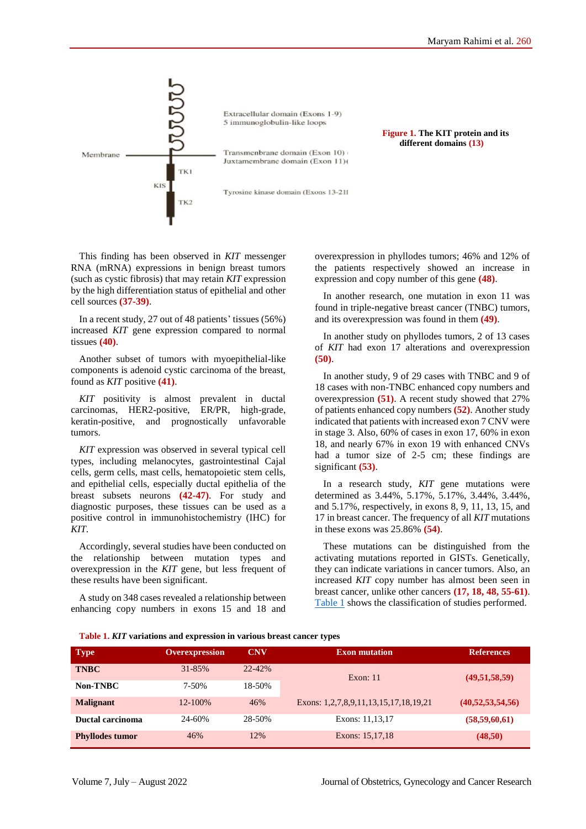<span id="page-2-0"></span>

**Figure 1. The KIT protein and its different domains (13)**

This finding has been observed in *KIT* messenger RNA (mRNA) expressions in benign breast tumors (such as cystic fibrosis) that may retain *KIT* expression by the high differentiation status of epithelial and other cell sources **(37-39)**.

In a recent study, 27 out of 48 patients' tissues (56%) increased *KIT* gene expression compared to normal tissues **(40)**.

Another subset of tumors with myoepithelial-like components is adenoid cystic carcinoma of the breast, found as *KIT* positive **(41)**.

*KIT* positivity is almost prevalent in ductal carcinomas, HER2-positive, ER/PR, high-grade, keratin-positive, and prognostically unfavorable tumors.

*KIT* expression was observed in several typical cell types, including melanocytes, gastrointestinal Cajal cells, germ cells, mast cells, hematopoietic stem cells, and epithelial cells, especially ductal epithelia of the breast subsets neurons **(42-47)**. For study and diagnostic purposes, these tissues can be used as a positive control in immunohistochemistry (IHC) for *KIT*.

Accordingly, several studies have been conducted on the relationship between mutation types and overexpression in the *KIT* gene, but less frequent of these results have been significant.

A study on 348 cases revealed a relationship between enhancing copy numbers in exons 15 and 18 and overexpression in phyllodes tumors; 46% and 12% of the patients respectively showed an increase in expression and copy number of this gene **(48)**.

In another research, one mutation in exon 11 was found in triple-negative breast cancer (TNBC) tumors, and its overexpression was found in them **(49)**.

In another study on phyllodes tumors, 2 of 13 cases of *KIT* had exon 17 alterations and overexpression **(50)**.

In another study, 9 of 29 cases with TNBC and 9 of 18 cases with non-TNBC enhanced copy numbers and overexpression **(51)**. A recent study showed that 27% of patients enhanced copy numbers **(52)**. Another study indicated that patients with increased exon 7 CNV were in stage 3. Also, 60% of cases in exon 17, 60% in exon 18, and nearly 67% in exon 19 with enhanced CNVs had a tumor size of 2-5 cm; these findings are significant **(53)**.

In a research study, *KIT* gene mutations were determined as 3.44%, 5.17%, 5.17%, 3.44%, 3.44%, and 5.17%, respectively, in exons 8, 9, 11, 13, 15, and 17 in breast cancer. The frequency of all *KIT* mutations in these exons was 25.86% **(54)**.

These mutations can be distinguished from the activating mutations reported in GISTs. Genetically, they can indicate variations in cancer tumors. Also, an increased *KIT* copy number has almost been seen in breast cancer, unlike other cancers **(17, 18, 48, 55-61)**. Table 1 shows the classification of studies performed.

#### **Table 1.** *KIT* **variations and expression in various breast cancer types**

| <b>Type</b>            | <b>Overexpression</b> | <b>CNV</b> | <b>Exon mutation</b>                  | <b>References</b>    |  |
|------------------------|-----------------------|------------|---------------------------------------|----------------------|--|
| <b>TNBC</b>            | $31 - 85%$            | $22 - 42%$ | Exon: $11$                            | (49,51,58,59)        |  |
| Non-TNBC               | 7-50%                 | 18-50%     |                                       |                      |  |
| <b>Malignant</b>       | 12-100%               | 46%        | Exons: 1,2,7,8,9,11,13,15,17,18,19,21 | (40, 52, 53, 54, 56) |  |
| Ductal carcinoma       | 24-60%                | 28-50%     | Exons: 11,13,17                       | (58, 59, 60, 61)     |  |
| <b>Phyllodes tumor</b> | 46%                   | 12%        | Exons: 15,17,18                       | (48,50)              |  |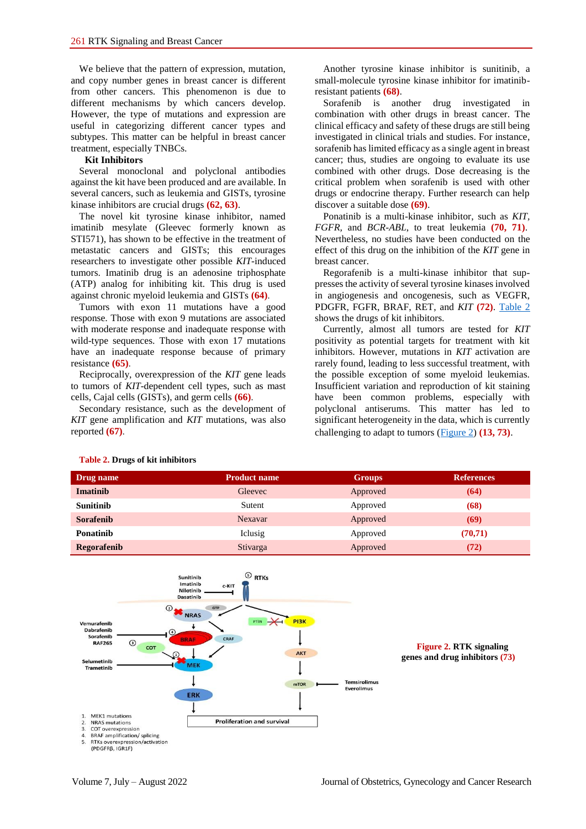We believe that the pattern of expression, mutation, and copy number genes in breast cancer is different from other cancers. This phenomenon is due to different mechanisms by which cancers develop. However, the type of mutations and expression are useful in categorizing different cancer types and subtypes. This matter can be helpful in breast cancer treatment, especially TNBCs.

#### **Kit Inhibitors**

Several monoclonal and polyclonal antibodies against the kit have been produced and are available. In several cancers, such as leukemia and GISTs, tyrosine kinase inhibitors are crucial drugs **(62, 63)**.

The novel kit tyrosine kinase inhibitor, named imatinib mesylate (Gleevec formerly known as STI571), has shown to be effective in the treatment of metastatic cancers and GISTs; this encourages researchers to investigate other possible *KIT*-induced tumors. Imatinib drug is an adenosine triphosphate (ATP) analog for inhibiting kit*.* This drug is used against chronic myeloid leukemia and GISTs **(64)**.

Tumors with exon 11 mutations have a good response. Those with exon 9 mutations are associated with moderate response and inadequate response with wild-type sequences. Those with exon 17 mutations have an inadequate response because of primary resistance **(65)**.

Reciprocally, overexpression of the *KIT* gene leads to tumors of *KIT*-dependent cell types, such as mast cells, Cajal cells (GISTs), and germ cells **(66)**.

Secondary resistance, such as the development of *KIT* gene amplification and *KIT* mutations, was also reported **(67)**.

Another tyrosine kinase inhibitor is sunitinib, a small-molecule tyrosine kinase inhibitor for imatinibresistant patients **(68)**.

Sorafenib is another drug investigated in combination with other drugs in breast cancer. The clinical efficacy and safety of these drugs are still being investigated in clinical trials and studies. For instance, sorafenib has limited efficacy as a single agent in breast cancer; thus, studies are ongoing to evaluate its use combined with other drugs. Dose decreasing is the critical problem when sorafenib is used with other drugs or endocrine therapy. Further research can help discover a suitable dose **(69)**.

Ponatinib is a multi-kinase inhibitor, such as *KIT, FGFR,* and *BCR-ABL*, to treat leukemia **(70, 71)**. Nevertheless, no studies have been conducted on the effect of this drug on the inhibition of the *KIT* gene in breast cancer.

Regorafenib is a multi-kinase inhibitor that suppresses the activity of several tyrosine kinases involved in angiogenesis and oncogenesis, such as VEGFR, PDGFR, FGFR, BRAF, RET, and *KIT* **(72)**. [Table 2](#page-3-0) shows the drugs of kit inhibitors.

Currently, almost all tumors are tested for *KIT* positivity as potential targets for treatment with kit inhibitors. However, mutations in *KIT* activation are rarely found, leading to less successful treatment, with the possible exception of some myeloid leukemias. Insufficient variation and reproduction of kit staining have been common problems, especially with polyclonal antiserums. This matter has led to significant heterogeneity in the data, which is currently challenging to adapt to tumors (Figure 2) **(13, 73)**.

| Drug name        | <b>Product name</b> | <b>Groups</b> | <b>References</b> |
|------------------|---------------------|---------------|-------------------|
| Imatinib         | Gleevec             | Approved      | (64)              |
| <b>Sunitinib</b> | Sutent              | Approved      | (68)              |
| <b>Sorafenib</b> | Nexavar             | Approved      | (69)              |
| <b>Ponatinib</b> | Iclusig             | Approved      | (70, 71)          |
| Regorafenib      | Stivarga            | Approved      | (72)              |



#### <span id="page-3-0"></span>**Table 2. Drugs of kit inhibitors**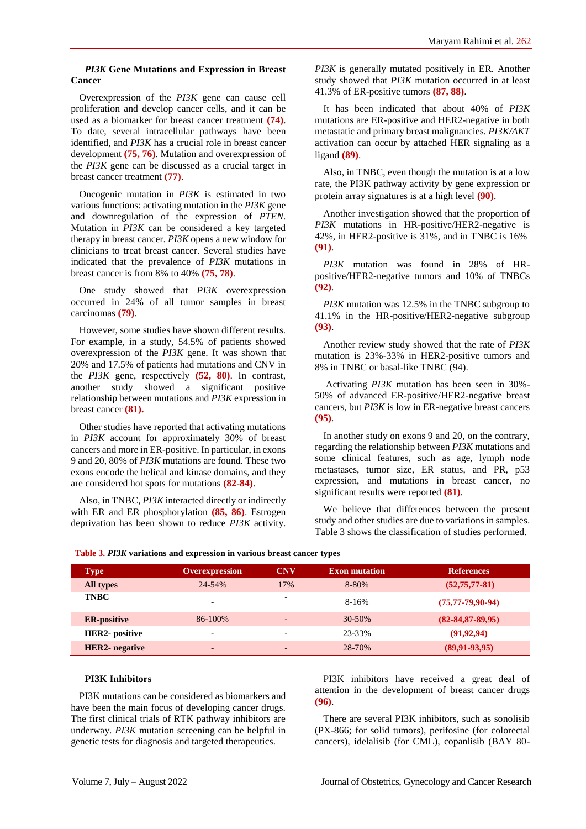### *PI3K* **Gene Mutations and Expression in Breast Cancer**

Overexpression of the *PI3K* gene can cause cell proliferation and develop cancer cells, and it can be used as a biomarker for breast cancer treatment **(74)**. To date, several intracellular pathways have been identified, and *PI3K* has a crucial role in breast cancer development **(75, 76)**. Mutation and overexpression of the *PI3K* gene can be discussed as a crucial target in breast cancer treatment **(77)**.

Oncogenic mutation in *PI3K* is estimated in two various functions: activating mutation in the *PI3K* gene and downregulation of the expression of *PTEN*. Mutation in *PI3K* can be considered a key targeted therapy in breast cancer. *PI3K* opens a new window for clinicians to treat breast cancer. Several studies have indicated that the prevalence of *PI3K* mutations in breast cancer is from 8% to 40% **(75, 78)**.

One study showed that *PI3K* overexpression occurred in 24% of all tumor samples in breast carcinomas **(79)**.

However, some studies have shown different results. For example, in a study, 54.5% of patients showed overexpression of the *PI3K* gene. It was shown that 20% and 17.5% of patients had mutations and CNV in the *PI3K* gene, respectively **(52, 80)**. In contrast, another study showed a significant positive relationship between mutations and *PI3K* expression in breast cancer **(81).**

Other studies have reported that activating mutations in *PI3K* account for approximately 30% of breast cancers and more in ER-positive. In particular, in exons 9 and 20, 80% of *PI3K* mutations are found. These two exons encode the helical and kinase domains, and they are considered hot spots for mutations **(82-84)**.

Also, in TNBC, *PI3K* interacted directly or indirectly with ER and ER phosphorylation **(85, 86)**. Estrogen deprivation has been shown to reduce *PI3K* activity. *PI3K* is generally mutated positively in ER. Another study showed that *PI3K* mutation occurred in at least 41.3% of ER-positive tumors **(87, 88)**.

It has been indicated that about 40% of *PI3K* mutations are ER-positive and HER2-negative in both metastatic and primary breast malignancies. *PI3K/AKT* activation can occur by attached HER signaling as a ligand **(89)**.

Also, in TNBC, even though the mutation is at a low rate, the PI3K pathway activity by gene expression or protein array signatures is at a high level **(90)**.

Another investigation showed that the proportion of *PI3K* mutations in HR-positive/HER2-negative is 42%, in HER2-positive is 31%, and in TNBC is 16% **(91)**.

*PI3K* mutation was found in 28% of HRpositive/HER2-negative tumors and 10% of TNBCs **(92)**.

*PI3K* mutation was 12.5% in the TNBC subgroup to 41.1% in the HR-positive/HER2-negative subgroup **(93)**.

Another review study showed that the rate of *PI3K* mutation is 23%-33% in HER2-positive tumors and 8% in TNBC or basal-like TNBC (94).

Activating *PI3K* mutation has been seen in 30%- 50% of advanced ER-positive/HER2-negative breast cancers, but *PI3K* is low in ER-negative breast cancers **(95)**.

In another study on exons 9 and 20, on the contrary, regarding the relationship between *PI3K* mutations and some clinical features, such as age, lymph node metastases, tumor size, ER status, and PR, p53 expression, and mutations in breast cancer, no significant results were reported **(81)**.

We believe that differences between the present study and other studies are due to variations in samples. Table 3 shows the classification of studies performed.

| <b>Type</b>           | <b>Overexpression</b>    | <b>CNV</b>               | <b>Exon mutation</b> | <b>References</b>        |
|-----------------------|--------------------------|--------------------------|----------------------|--------------------------|
| All types             | 24-54%                   | 17%                      | 8-80%                | $(52, 75, 77-81)$        |
| <b>TNBC</b>           | $\overline{\phantom{a}}$ | $\overline{\phantom{0}}$ | 8-16%                | $(75, 77 - 79, 90 - 94)$ |
| <b>ER-positive</b>    | $86 - 100\%$             | $\overline{\phantom{0}}$ | 30-50%               | $(82 - 84, 87 - 89, 95)$ |
| <b>HER2-</b> positive |                          |                          | 23-33%               | (91, 92, 94)             |
| <b>HER2-</b> negative | $\overline{\phantom{0}}$ | -                        | 28-70%               | $(89, 91 - 93, 95)$      |

**Table 3.** *PI3K* **variations and expression in various breast cancer types**

#### **PI3K Inhibitors**

PI3K mutations can be considered as biomarkers and have been the main focus of developing cancer drugs. The first clinical trials of RTK pathway inhibitors are underway. *PI3K* mutation screening can be helpful in genetic tests for diagnosis and targeted therapeutics.

PI3K inhibitors have received a great deal of attention in the development of breast cancer drugs **(96)**.

There are several PI3K inhibitors, such as sonolisib (PX-866; for solid tumors), perifosine (for colorectal cancers), idelalisib (for CML), copanlisib (BAY 80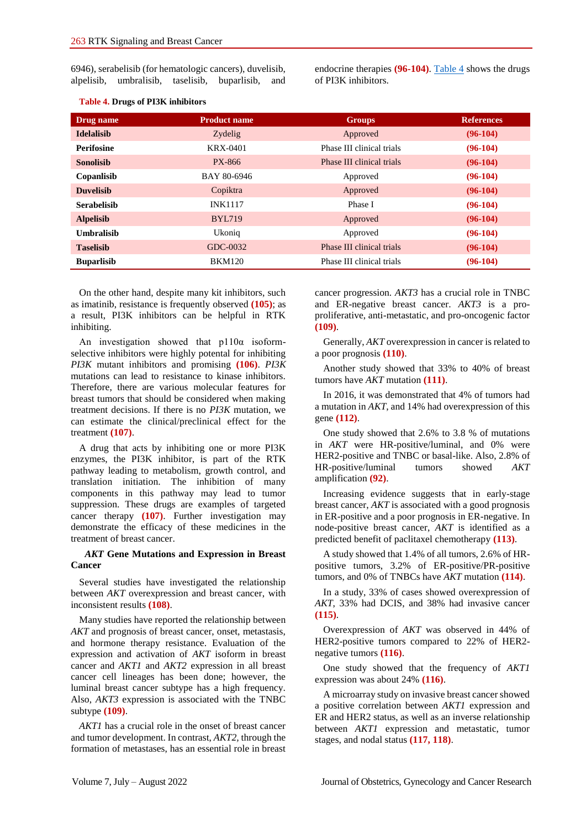6946), serabelisib (for hematologic cancers), duvelisib, alpelisib, umbralisib, taselisib, buparlisib, and endocrine therapies **(96-104)**. [Table 4](#page-5-0) shows the drugs of PI3K inhibitors.

| Drug name          | <b>Product name</b> | <b>Groups</b>             | <b>References</b> |
|--------------------|---------------------|---------------------------|-------------------|
| <b>Idelalisib</b>  | Zydelig             | Approved                  | $(96-104)$        |
| <b>Perifosine</b>  | KRX-0401            | Phase III clinical trials | $(96-104)$        |
| <b>Sonolisib</b>   | PX-866              | Phase III clinical trials | $(96-104)$        |
| Copanlisib         | BAY 80-6946         | Approved                  | $(96-104)$        |
| <b>Duvelisib</b>   | Copiktra            | Approved                  | $(96-104)$        |
| <b>Serabelisib</b> | <b>INK1117</b>      | Phase I                   | $(96-104)$        |
| <b>Alpelisib</b>   | <b>BYL719</b>       | Approved                  | $(96-104)$        |
| <b>Umbralisib</b>  | Ukonig              | Approved                  | $(96-104)$        |
| <b>Taselisib</b>   | GDC-0032            | Phase III clinical trials | $(96-104)$        |
| <b>Buparlisib</b>  | <b>BKM120</b>       | Phase III clinical trials | $(96-104)$        |

#### <span id="page-5-0"></span>**Table 4. Drugs of PI3K inhibitors**

On the other hand, despite many kit inhibitors, such as imatinib, resistance is frequently observed **(105)**; as a result, PI3K inhibitors can be helpful in RTK inhibiting.

An investigation showed that p110α isoformselective inhibitors were highly potental for inhibiting *PI3K* mutant inhibitors and promising **(106)**. *PI3K* mutations can lead to resistance to kinase inhibitors. Therefore, there are various molecular features for breast tumors that should be considered when making treatment decisions. If there is no *PI3K* mutation, we can estimate the clinical/preclinical effect for the treatment **(107)**.

A drug that acts by inhibiting one or more PI3K enzymes, the PI3K inhibitor, is part of the RTK pathway leading to metabolism, growth control, and translation initiation. The inhibition of many components in this pathway may lead to tumor suppression. These drugs are examples of targeted cancer therapy **(107)**. Further investigation may demonstrate the efficacy of these medicines in the treatment of breast cancer.

#### *AKT* **Gene Mutations and Expression in Breast Cancer**

Several studies have investigated the relationship between *AKT* overexpression and breast cancer, with inconsistent results **(108)**.

Many studies have reported the relationship between *AKT* and prognosis of breast cancer, onset, metastasis, and hormone therapy resistance. Evaluation of the expression and activation of *AKT* isoform in breast cancer and *AKT1* and *AKT2* expression in all breast cancer cell lineages has been done; however, the luminal breast cancer subtype has a high frequency. Also, *AKT3* expression is associated with the TNBC subtype **(109)**.

*AKT1* has a crucial role in the onset of breast cancer and tumor development. In contrast, *AKT2,* through the formation of metastases, has an essential role in breast

cancer progression. *AKT3* has a crucial role in TNBC and ER-negative breast cancer. *AKT3* is a proproliferative, anti-metastatic, and pro-oncogenic factor **(109)**.

Generally, *AKT* overexpression in cancer is related to a poor prognosis **(110)**.

Another study showed that 33% to 40% of breast tumors have *AKT* mutation **(111)**.

In 2016, it was demonstrated that 4% of tumors had a mutation in *AKT*, and 14% had overexpression of this gene **(112)**.

One study showed that 2.6% to 3.8 % of mutations in *AKT* were HR-positive/luminal, and 0% were HER2-positive and TNBC or basal-like. Also, 2.8% of HR-positive/luminal tumors showed *AKT* amplification **(92)**.

Increasing evidence suggests that in early-stage breast cancer, *AKT* is associated with a good prognosis in ER-positive and a poor prognosis in ER-negative. In node-positive breast cancer, *AKT* is identified as a predicted benefit of paclitaxel chemotherapy **(113)**.

A study showed that 1.4% of all tumors, 2.6% of HRpositive tumors, 3.2% of ER-positive/PR-positive tumors, and 0% of TNBCs have *AKT* mutation **(114)**.

In a study, 33% of cases showed overexpression of *AKT*, 33% had DCIS, and 38% had invasive cancer **(115)**.

Overexpression of *AKT* was observed in 44% of HER2-positive tumors compared to 22% of HER2 negative tumors **(116)**.

One study showed that the frequency of *AKT1* expression was about 24% **(116)**.

A microarray study on invasive breast cancer showed a positive correlation between *AKT1* expression and ER and HER2 status, as well as an inverse relationship between *AKT1* expression and metastatic, tumor stages, and nodal status **(117, 118)**.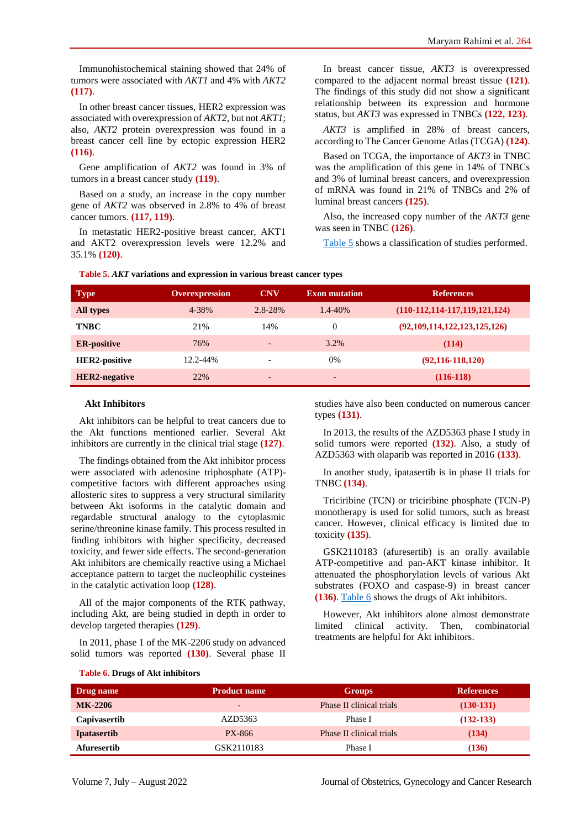Immunohistochemical staining showed that 24% of tumors were associated with *AKT1* and 4% with *AKT2* **(117)**.

In other breast cancer tissues, HER2 expression was associated with overexpression of *AKT2*, but not *AKT1*; also, *AKT2* protein overexpression was found in a breast cancer cell line by ectopic expression HER2 **(116)**.

Gene amplification of *AKT2* was found in 3% of tumors in a breast cancer study **(119)**.

Based on a study, an increase in the copy number gene of *AKT2* was observed in 2.8% to 4% of breast cancer tumors. **(117, 119)**.

In metastatic HER2-positive breast cancer, AKT1 and AKT2 overexpression levels were 12.2% and 35.1% **(120)**.

In breast cancer tissue, *AKT3* is overexpressed compared to the adjacent normal breast tissue **(121)**. The findings of this study did not show a significant relationship between its expression and hormone status, but *AKT3* was expressed in TNBCs **(122, 123)**.

*AKT3* is amplified in 28% of breast cancers, according to The Cancer Genome Atlas (TCGA) **(124)**.

Based on TCGA, the importance of *AKT3* in TNBC was the amplification of this gene in 14% of TNBCs and 3% of luminal breast cancers, and overexpression of mRNA was found in 21% of TNBCs and 2% of luminal breast cancers **(125)**.

Also, the increased copy number of the *AKT3* gene was seen in TNBC **(126)**.

[Table 5](#page-6-0) shows a classification of studies performed.

<span id="page-6-0"></span>

| Table 5. AKT variations and expression in various breast cancer types |  |  |  |
|-----------------------------------------------------------------------|--|--|--|
|-----------------------------------------------------------------------|--|--|--|

| <b>Type</b>          | <b>Overexpression</b> | <b>CNV</b>               | <b>Exon mutation</b> | <b>References</b>                   |
|----------------------|-----------------------|--------------------------|----------------------|-------------------------------------|
| All types            | 4-38%                 | $2.8 - 28%$              | $1.4 - 40%$          | $(110-112, 114-117, 119, 121, 124)$ |
| <b>TNBC</b>          | 21%                   | 14%                      | 0                    | (92,109,114,122,123,125,126)        |
| <b>ER-positive</b>   | 76%                   | $\overline{\phantom{a}}$ | 3.2%                 | (114)                               |
| <b>HER2-positive</b> | 12.2-44%              | $\overline{\phantom{a}}$ | $0\%$                | $(92, 116 - 118, 120)$              |
| <b>HER2-negative</b> | 22%                   | $\overline{\phantom{a}}$ | -                    | $(116-118)$                         |

#### **Akt Inhibitors**

Akt inhibitors can be helpful to treat cancers due to the Akt functions mentioned earlier. Several Akt inhibitors are currently in the clinical trial stage **(127)**.

The findings obtained from the Akt inhibitor process were associated with adenosine triphosphate (ATP) competitive factors with different approaches using allosteric sites to suppress a very structural similarity between Akt isoforms in the catalytic domain and regardable structural analogy to the cytoplasmic serine/threonine kinase family. This process resulted in finding inhibitors with higher specificity, decreased toxicity, and fewer side effects. The second-generation Akt inhibitors are chemically reactive using a Michael acceptance pattern to target the nucleophilic cysteines in the catalytic activation loop **(128)**.

All of the major components of the RTK pathway, including Akt, are being studied in depth in order to develop targeted therapies **(129)**.

In 2011, phase 1 of the MK-2206 study on advanced solid tumors was reported **(130)**. Several phase II

studies have also been conducted on numerous cancer types **(131)**.

In 2013, the results of the AZD5363 phase I study in solid tumors were reported **(132)**. Also, a study of AZD5363 with olaparib was reported in 2016 **(133)**.

In another study, ipatasertib is in phase II trials for TNBC **(134)**.

Triciribine (TCN) or triciribine phosphate (TCN-P) monotherapy is used for solid tumors, such as breast cancer. However, clinical efficacy is limited due to toxicity **(135)**.

GSK2110183 (afuresertib) is an orally available ATP-competitive and pan-AKT kinase inhibitor. It attenuated the phosphorylation levels of various Akt substrates (FOXO and caspase-9) in breast cancer **(136)**[. Table 6](#page-6-1) shows the drugs of Akt inhibitors.

However, Akt inhibitors alone almost demonstrate limited clinical activity. Then, combinatorial treatments are helpful for Akt inhibitors.

<span id="page-6-1"></span>

|  |  |  |  |  |  | Table 6. Drugs of Akt inhibitors |
|--|--|--|--|--|--|----------------------------------|
|--|--|--|--|--|--|----------------------------------|

| Drug name          | <b>Product name</b> | <b>Groups</b>            | <b>References</b> |
|--------------------|---------------------|--------------------------|-------------------|
| <b>MK-2206</b>     | $-$                 | Phase II clinical trials | $(130-131)$       |
| Capivasertib       | AZD5363             | Phase I                  | $(132-133)$       |
| <b>Ipatasertib</b> | PX-866              | Phase II clinical trials | (134)             |
| Afuresertib        | GSK2110183          | Phase I                  | (136)             |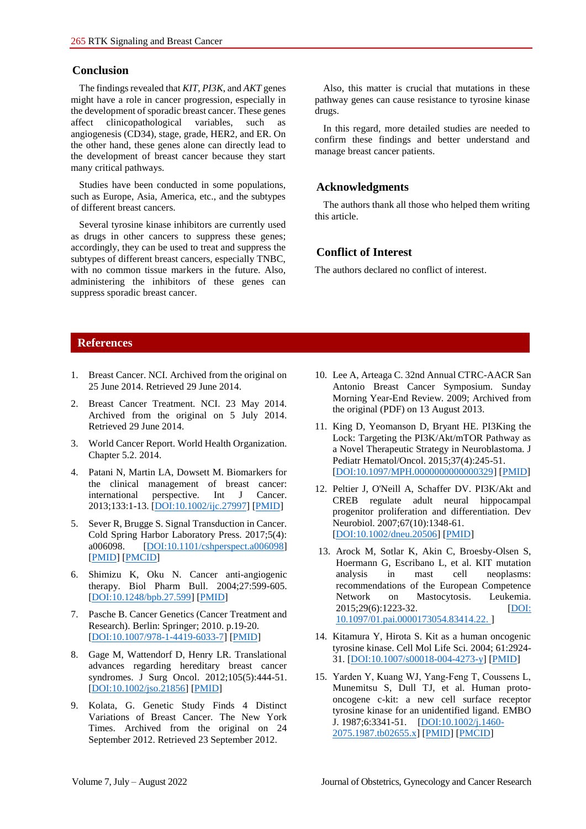## **Conclusion**

The findings revealed that *KIT*, *PI3K*, and *AKT* genes might have a role in cancer progression, especially in the development of sporadic breast cancer. These genes affect clinicopathological variables, such as angiogenesis (CD34), stage, grade, HER2, and ER. On the other hand, these genes alone can directly lead to the development of breast cancer because they start many critical pathways.

Studies have been conducted in some populations, such as Europe, Asia, America, etc., and the subtypes of different breast cancers.

Several tyrosine kinase inhibitors are currently used as drugs in other cancers to suppress these genes; accordingly, they can be used to treat and suppress the subtypes of different breast cancers, especially TNBC, with no common tissue markers in the future. Also, administering the inhibitors of these genes can suppress sporadic breast cancer.

Also, this matter is crucial that mutations in these pathway genes can cause resistance to tyrosine kinase drugs.

In this regard, more detailed studies are needed to confirm these findings and better understand and manage breast cancer patients.

## **Acknowledgments**

The authors thank all those who helped them writing this article.

## **Conflict of Interest**

The authors declared no conflict of interest.

## **References**

- 1. Breast Cancer. NCI. Archived from the original on 25 June 2014. Retrieved 29 June 2014.
- 2. Breast Cancer Treatment. NCI. 23 May 2014. Archived from the original on 5 July 2014. Retrieved 29 June 2014.
- 3. World Cancer Report. World Health Organization. Chapter 5.2. 2014.
- 4. Patani N, Martin LA, Dowsett M. Biomarkers for the clinical management of breast cancer: international perspective. Int J Cancer. 2013;133:1-13. [\[DOI:10.1002/ijc.27997\]](https://doi.org/10.1002/ijc.27997) [\[PMID\]](https://www.ncbi.nlm.nih.gov/pubmed/23280579)
- 5. Sever R, Brugge S. Signal Transduction in Cancer. Cold Spring Harbor Laboratory Press. 2017;5(4): a006098. [\[DOI:10.1101/cshperspect.a006098\]](https://doi.org/10.1101/cshperspect.a006098) [\[PMID\]](https://www.ncbi.nlm.nih.gov/pubmed/25833940) [\[PMCID\]](http://www.ncbi.nlm.nih.gov/pmc/articles/PMC4382731)
- 6. Shimizu K, Oku N. Cancer anti-angiogenic therapy. Biol Pharm Bull. 2004;27:599-605. [\[DOI:10.1248/bpb.27.599\]](https://doi.org/10.1248/bpb.27.599) [\[PMID\]](https://www.ncbi.nlm.nih.gov/pubmed/15133229)
- 7. Pasche B. Cancer Genetics (Cancer Treatment and Research). Berlin: Springer; 2010. p.19-20. [\[DOI:10.1007/978-1-4419-6033-7\]](https://doi.org/10.1007/978-1-4419-6033-7) [\[PMID\]](https://www.ncbi.nlm.nih.gov/pubmed/20698080)
- 8. Gage M, Wattendorf D, Henry LR. Translational advances regarding hereditary breast cancer syndromes. J Surg Oncol. 2012;105(5):444-51. [\[DOI:10.1002/jso.21856\]](https://doi.org/10.1002/jso.21856) [\[PMID\]](https://www.ncbi.nlm.nih.gov/pubmed/22441895)
- 9. Kolata, G. Genetic Study Finds 4 Distinct Variations of Breast Cancer. The New York Times. Archived from the original on 24 September 2012. Retrieved 23 September 2012.
- 10. Lee A, Arteaga C. 32nd Annual CTRC-AACR San Antonio Breast Cancer Symposium. Sunday Morning Year-End Review. 2009; Archived from the original (PDF) on 13 August 2013.
- 11. King D, Yeomanson D, Bryant HE. PI3King the Lock: Targeting the PI3K/Akt/mTOR Pathway as a Novel Therapeutic Strategy in Neuroblastoma. J Pediatr Hematol/Oncol. 2015;37(4):245-51. [\[DOI:10.1097/MPH.0000000000000329\]](https://doi.org/10.1097/MPH.0000000000000329) [\[PMID\]](https://www.ncbi.nlm.nih.gov/pubmed/25811750)
- 12. Peltier J, O'Neill A, Schaffer DV. PI3K/Akt and CREB regulate adult neural hippocampal progenitor proliferation and differentiation. Dev Neurobiol. 2007;67(10):1348-61. [\[DOI:10.1002/dneu.20506\]](https://doi.org/10.1002/dneu.20506) [\[PMID\]](https://www.ncbi.nlm.nih.gov/pubmed/17638387)
- 13. Arock M, Sotlar K, Akin C, Broesby-Olsen S, Hoermann G, Escribano L, et al. KIT mutation analysis in mast cell neoplasms: recommendations of the European Competence Network on Mastocytosis. Leukemia. 2015;29(6):1223-32. [\[DOI:](%22https:/doi.org/10.1097/01.pai.0000173054.83414.22.) [10.1097/01.pai.0000173054.83414.22. \]](%22https:/doi.org/10.1097/01.pai.0000173054.83414.22.)
- 14. Kitamura Y, Hirota S. Kit as a human oncogenic tyrosine kinase. Cell Mol Life Sci. 2004; 61:2924- 31. [\[DOI:10.1007/s00018-004-4273-y\]](https://doi.org/10.1007/s00018-004-4273-y) [\[PMID\]](https://www.ncbi.nlm.nih.gov/pubmed/15583854)
- 15. Yarden Y, Kuang WJ, Yang‐Feng T, Coussens L, Munemitsu S, Dull TJ, et al. Human protooncogene c-kit: a new cell surface receptor tyrosine kinase for an unidentified ligand. EMBO J. 1987;6:3341-51. [\[DOI:10.1002/j.1460-](https://doi.org/10.1002/j.1460-2075.1987.tb02655.x) [2075.1987.tb02655.x\]](https://doi.org/10.1002/j.1460-2075.1987.tb02655.x) [\[PMID\]](https://www.ncbi.nlm.nih.gov/pubmed/2448137) [\[PMCID\]](http://www.ncbi.nlm.nih.gov/pmc/articles/PMC553789)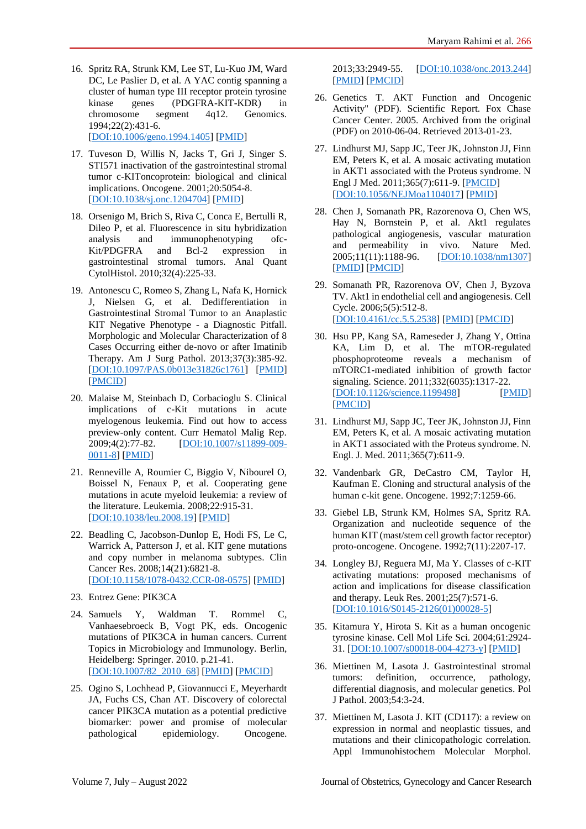16. Spritz RA, Strunk KM, Lee ST, Lu-Kuo JM, Ward DC, Le Paslier D, et al. A YAC contig spanning a cluster of human type III receptor protein tyrosine kinase genes (PDGFRA-KIT-KDR) in<br>chromosome segment 4q12. Genomics. chromosome segment 1994;22(2):431-6.

[\[DOI:10.1006/geno.1994.1405\]](https://doi.org/10.1006/geno.1994.1405) [\[PMID\]](https://www.ncbi.nlm.nih.gov/pubmed/7528718)

- 17. Tuveson D, Willis N, Jacks T, Gri J, Singer S. STI571 inactivation of the gastrointestinal stromal tumor c-KIToncoprotein: biological and clinical implications. Oncogene. 2001;20:5054-8. [\[DOI:10.1038/sj.onc.1204704\]](https://doi.org/10.1038/sj.onc.1204704) [\[PMID\]](https://www.ncbi.nlm.nih.gov/pubmed/11526490)
- 18. Orsenigo M, Brich S, Riva C, Conca E, Bertulli R, Dileo P, et al. Fluorescence in situ hybridization analysis and immunophenotyping ofc-Kit/PDGFRA and Bcl-2 expression in gastrointestinal stromal tumors. Anal Quant CytolHistol. 2010;32(4):225-33.
- 19. Antonescu C, Romeo S, Zhang L, Nafa K, Hornick J, Nielsen G, et al. Dedifferentiation in Gastrointestinal Stromal Tumor to an Anaplastic KIT Negative Phenotype - a Diagnostic Pitfall. Morphologic and Molecular Characterization of 8 Cases Occurring either de-novo or after Imatinib Therapy. Am J Surg Pathol. 2013;37(3):385-92. [\[DOI:10.1097/PAS.0b013e31826c1761\]](https://doi.org/10.1097/PAS.0b013e31826c1761) [\[PMID\]](https://www.ncbi.nlm.nih.gov/pubmed/23348204) [\[PMCID\]](http://www.ncbi.nlm.nih.gov/pmc/articles/PMC3728887)
- 20. Malaise M, Steinbach D, Corbacioglu S. Clinical implications of c-Kit mutations in acute myelogenous leukemia. Find out how to access preview-only content. Curr Hematol Malig Rep. 2009;4(2):77-82. [\[DOI:10.1007/s11899-009-](https://doi.org/10.1007/s11899-009-0011-8) [0011-8\]](https://doi.org/10.1007/s11899-009-0011-8) [\[PMID\]](https://www.ncbi.nlm.nih.gov/pubmed/20425418)
- 21. Renneville A, Roumier C, Biggio V, Nibourel O, Boissel N, Fenaux P, et al. Cooperating gene mutations in acute myeloid leukemia: a review of the literature. Leukemia. 2008;22:915-31. [\[DOI:10.1038/leu.2008.19\]](https://doi.org/10.1038/leu.2008.19) [\[PMID\]](https://www.ncbi.nlm.nih.gov/pubmed/18288131)
- 22. Beadling C, Jacobson-Dunlop E, Hodi FS, Le C, Warrick A, Patterson J, et al. KIT gene mutations and copy number in melanoma subtypes. Clin Cancer Res. 2008;14(21):6821-8. [\[DOI:10.1158/1078-0432.CCR-08-0575\]](https://doi.org/10.1158/1078-0432.CCR-08-0575) [\[PMID\]](https://www.ncbi.nlm.nih.gov/pubmed/18980976)
- 23. Entrez Gene: PIK3CA
- 24. Samuels Y, Waldman T. Rommel C, Vanhaesebroeck B, Vogt PK, eds. Oncogenic mutations of PIK3CA in human cancers. Current Topics in Microbiology and Immunology. Berlin, Heidelberg: Springer. 2010. p.21-41. [\[DOI:10.1007/82\\_2010\\_68\]](https://doi.org/10.1007/82_2010_68) [\[PMID\]](https://www.ncbi.nlm.nih.gov/pubmed/20535651) [\[PMCID\]](http://www.ncbi.nlm.nih.gov/pmc/articles/PMC3164550)
- 25. Ogino S, Lochhead P, Giovannucci E, Meyerhardt JA, Fuchs CS, Chan AT. Discovery of colorectal cancer PIK3CA mutation as a potential predictive biomarker: power and promise of molecular pathological epidemiology. Oncogene.

2013;33:2949-55. [\[DOI:10.1038/onc.2013.244\]](https://doi.org/10.1038/onc.2013.244) [\[PMID\]](https://www.ncbi.nlm.nih.gov/pubmed/23792451) [\[PMCID\]](http://www.ncbi.nlm.nih.gov/pmc/articles/PMC3818472)

- 26. Genetics T. AKT Function and Oncogenic Activity" (PDF). Scientific Report. Fox Chase Cancer Center. 2005. Archived from the original (PDF) on 2010-06-04. Retrieved 2013-01-23.
- 27. Lindhurst MJ, Sapp JC, Teer JK, Johnston JJ, Finn EM, Peters K, et al. A mosaic activating mutation in AKT1 associated with the Proteus syndrome. N Engl J Med. 2011;365(7):611-9. [\[PMCID\]](http://www.ncbi.nlm.nih.gov/pmc/articles/PMC3170413) [\[DOI:10.1056/NEJMoa1104017\]](https://doi.org/10.1056/NEJMoa1104017) [\[PMID\]](https://www.ncbi.nlm.nih.gov/pubmed/21793738)
- 28. Chen J, Somanath PR, Razorenova O, Chen WS, Hay N, Bornstein P, et al. Akt1 regulates pathological angiogenesis, vascular maturation and permeability in vivo. Nature Med. 2005;11(11):1188-96. [\[DOI:10.1038/nm1307\]](https://doi.org/10.1038/nm1307) [\[PMID\]](https://www.ncbi.nlm.nih.gov/pubmed/16227992) [\[PMCID\]](http://www.ncbi.nlm.nih.gov/pmc/articles/PMC2277080)
- 29. Somanath PR, Razorenova OV, Chen J, Byzova TV. Akt1 in endothelial cell and angiogenesis. Cell Cycle. 2006;5(5):512-8. [\[DOI:10.4161/cc.5.5.2538\]](https://doi.org/10.4161/cc.5.5.2538) [\[PMID\]](https://www.ncbi.nlm.nih.gov/pubmed/16552185) [\[PMCID\]](http://www.ncbi.nlm.nih.gov/pmc/articles/PMC1569947)
- 30. Hsu PP, Kang SA, Rameseder J, Zhang Y, Ottina KA, Lim D, et al. The mTOR-regulated phosphoproteome reveals a mechanism of mTORC1-mediated inhibition of growth factor signaling. Science. 2011;332(6035):1317-22. [\[DOI:10.1126/science.1199498\]](https://doi.org/10.1126/science.1199498) [\[PMID\]](https://www.ncbi.nlm.nih.gov/pubmed/21659604) [\[PMCID\]](http://www.ncbi.nlm.nih.gov/pmc/articles/PMC3177140)
- 31. Lindhurst MJ, Sapp JC, Teer JK, Johnston JJ, Finn EM, Peters K, et al. A mosaic activating mutation in AKT1 associated with the Proteus syndrome. N. Engl. J. Med. 2011;365(7):611-9.
- 32. Vandenbark GR, DeCastro CM, Taylor H, Kaufman E. Cloning and structural analysis of the human c-kit gene. Oncogene. 1992;7:1259-66.
- 33. Giebel LB, Strunk KM, Holmes SA, Spritz RA. Organization and nucleotide sequence of the human KIT (mast/stem cell growth factor receptor) proto-oncogene. Oncogene. 1992;7(11):2207-17.
- 34. Longley BJ, Reguera MJ, Ma Y. Classes of c-KIT activating mutations: proposed mechanisms of action and implications for disease classification and therapy. Leuk Res. 2001;25(7):571-6. [\[DOI:10.1016/S0145-2126\(01\)00028-5\]](https://doi.org/10.1016/S0145-2126(01)00028-5)
- 35. Kitamura Y, Hirota S. Kit as a human oncogenic tyrosine kinase. Cell Mol Life Sci. 2004;61:2924- 31. [\[DOI:10.1007/s00018-004-4273-y\]](https://doi.org/10.1007/s00018-004-4273-y) [\[PMID\]](https://www.ncbi.nlm.nih.gov/pubmed/15583854)
- 36. Miettinen M, Lasota J. Gastrointestinal stromal tumors: definition, occurrence, pathology, differential diagnosis, and molecular genetics. Pol J Pathol. 2003;54:3-24.
- 37. Miettinen M, Lasota J. KIT (CD117): a review on expression in normal and neoplastic tissues, and mutations and their clinicopathologic correlation. Appl Immunohistochem Molecular Morphol.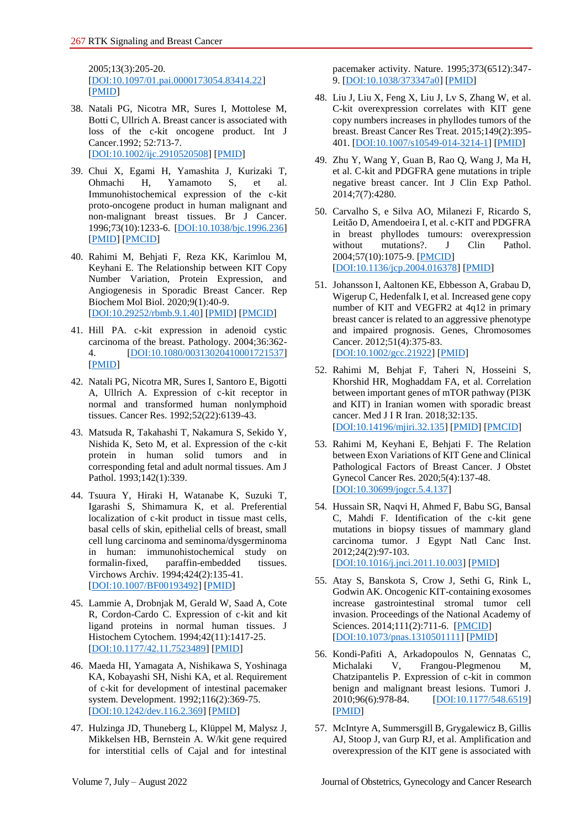2005;13(3):205-20. [\[DOI:10.1097/01.pai.0000173054.83414.22\]](https://doi.org/10.1097/01.pai.0000173054.83414.22) [\[PMID\]](https://www.ncbi.nlm.nih.gov/pubmed/16082245)

- 38. Natali PG, Nicotra MR, Sures I, Mottolese M, Botti C, Ullrich A. Breast cancer is associated with loss of the c-kit oncogene product. Int J Cancer.1992; 52:713-7. [\[DOI:10.1002/ijc.2910520508\]](https://doi.org/10.1002/ijc.2910520508) [\[PMID\]](https://www.ncbi.nlm.nih.gov/pubmed/1385336)
- 39. Chui X, Egami H, Yamashita J, Kurizaki T, Ohmachi H, Yamamoto S, et al. Immunohistochemical expression of the c-kit proto-oncogene product in human malignant and non-malignant breast tissues. Br J Cancer. 1996;73(10):1233-6. [\[DOI:10.1038/bjc.1996.236\]](https://doi.org/10.1038/bjc.1996.236) [\[PMID\]](https://www.ncbi.nlm.nih.gov/pubmed/8630284) [\[PMCID\]](http://www.ncbi.nlm.nih.gov/pmc/articles/PMC2074515)
- 40. Rahimi M, Behjati F, Reza KK, Karimlou M, Keyhani E. The Relationship between KIT Copy Number Variation, Protein Expression, and Angiogenesis in Sporadic Breast Cancer. Rep Biochem Mol Biol. 2020;9(1):40-9. [\[DOI:10.29252/rbmb.9.1.40\]](https://doi.org/10.29252/rbmb.9.1.40) [\[PMID\]](https://www.ncbi.nlm.nih.gov/pubmed/32821750) [\[PMCID\]](http://www.ncbi.nlm.nih.gov/pmc/articles/PMC7424421)
- 41. Hill PA. c-kit expression in adenoid cystic carcinoma of the breast. Pathology. 2004;36:362- 4. [\[DOI:10.1080/00313020410001721537\]](https://doi.org/10.1080/00313020410001721537) [\[PMID\]](https://www.ncbi.nlm.nih.gov/pubmed/15370139)
- 42. Natali PG, Nicotra MR, Sures I, Santoro E, Bigotti A, Ullrich A. Expression of c-kit receptor in normal and transformed human nonlymphoid tissues. Cancer Res. 1992;52(22):6139-43.
- 43. Matsuda R, Takahashi T, Nakamura S, Sekido Y, Nishida K, Seto M, et al. Expression of the c-kit protein in human solid tumors and in corresponding fetal and adult normal tissues. Am J Pathol. 1993;142(1):339.
- 44. Tsuura Y, Hiraki H, Watanabe K, Suzuki T, Igarashi S, Shimamura K, et al. Preferential localization of c-kit product in tissue mast cells, basal cells of skin, epithelial cells of breast, small cell lung carcinoma and seminoma/dysgerminoma in human: immunohistochemical study on formalin-fixed, paraffin-embedded tissues. Virchows Archiv. 1994;424(2):135-41. [\[DOI:10.1007/BF00193492\]](https://doi.org/10.1007/BF00193492) [\[PMID\]](https://www.ncbi.nlm.nih.gov/pubmed/7514077)
- 45. Lammie A, Drobnjak M, Gerald W, Saad A, Cote R, Cordon-Cardo C. Expression of c-kit and kit ligand proteins in normal human tissues. J Histochem Cytochem. 1994;42(11):1417-25. [\[DOI:10.1177/42.11.7523489\]](https://doi.org/10.1177/42.11.7523489) [\[PMID\]](https://www.ncbi.nlm.nih.gov/pubmed/7523489)
- 46. Maeda HI, Yamagata A, Nishikawa S, Yoshinaga KA, Kobayashi SH, Nishi KA, et al. Requirement of c-kit for development of intestinal pacemaker system. Development. 1992;116(2):369-75. [\[DOI:10.1242/dev.116.2.369\]](https://doi.org/10.1242/dev.116.2.369) [\[PMID\]](https://www.ncbi.nlm.nih.gov/pubmed/1283735)
- 47. Hulzinga JD, Thuneberg L, Klüppel M, Malysz J, Mikkelsen HB, Bernstein A. W/kit gene required for interstitial cells of Cajal and for intestinal

pacemaker activity. Nature. 1995;373(6512):347- 9. [\[DOI:10.1038/373347a0\]](https://doi.org/10.1038/373347a0) [\[PMID\]](https://www.ncbi.nlm.nih.gov/pubmed/7530333)

- 48. Liu J, Liu X, Feng X, Liu J, Lv S, Zhang W, et al. C-kit overexpression correlates with KIT gene copy numbers increases in phyllodes tumors of the breast. Breast Cancer Res Treat. 2015;149(2):395- 401. [\[DOI:10.1007/s10549-014-3214-1\]](https://doi.org/10.1007/s10549-014-3214-1) [\[PMID\]](https://www.ncbi.nlm.nih.gov/pubmed/25534827)
- 49. Zhu Y, Wang Y, Guan B, Rao Q, Wang J, Ma H, et al. C-kit and PDGFRA gene mutations in triple negative breast cancer. Int J Clin Exp Pathol. 2014;7(7):4280.
- 50. Carvalho S, e Silva AO, Milanezi F, Ricardo S, Leitão D, Amendoeira I, et al. c-KIT and PDGFRA in breast phyllodes tumours: overexpression without mutations?. J Clin Pathol. 2004;57(10):1075-9. [\[PMCID\]](http://www.ncbi.nlm.nih.gov/pmc/articles/PMC1770449) [\[DOI:10.1136/jcp.2004.016378\]](https://doi.org/10.1136/jcp.2004.016378) [\[PMID\]](https://www.ncbi.nlm.nih.gov/pubmed/15452163)
- 51. Johansson I, Aaltonen KE, Ebbesson A, Grabau D, Wigerup C, Hedenfalk I, et al. Increased gene copy number of KIT and VEGFR2 at 4q12 in primary breast cancer is related to an aggressive phenotype and impaired prognosis. Genes, Chromosomes Cancer. 2012;51(4):375-83. [\[DOI:10.1002/gcc.21922\]](https://doi.org/10.1002/gcc.21922) [\[PMID\]](https://www.ncbi.nlm.nih.gov/pubmed/22170730)
- 52. Rahimi M, Behjat F, Taheri N, Hosseini S, Khorshid HR, Moghaddam FA, et al. Correlation between important genes of mTOR pathway (PI3K and KIT) in Iranian women with sporadic breast cancer. Med J I R Iran. 2018;32:135. [\[DOI:10.14196/mjiri.32.135\]](https://doi.org/10.14196/mjiri.32.135) [\[PMID\]](https://www.ncbi.nlm.nih.gov/pubmed/30815430) [\[PMCID\]](http://www.ncbi.nlm.nih.gov/pmc/articles/PMC6387810)
- 53. Rahimi M, Keyhani E, Behjati F. The Relation between Exon Variations of KIT Gene and Clinical Pathological Factors of Breast Cancer. J Obstet Gynecol Cancer Res. 2020;5(4):137-48. [\[DOI:10.30699/jogcr.5.4.137\]](https://doi.org/10.30699/jogcr.5.4.137)
- 54. Hussain SR, Naqvi H, Ahmed F, Babu SG, Bansal C, Mahdi F. Identification of the c-kit gene mutations in biopsy tissues of mammary gland carcinoma tumor. J Egypt Natl Canc Inst. 2012;24(2):97-103. [\[DOI:10.1016/j.jnci.2011.10.003\]](https://doi.org/10.1016/j.jnci.2011.10.003) [\[PMID\]](https://www.ncbi.nlm.nih.gov/pubmed/23582602)
- 55. Atay S, Banskota S, Crow J, Sethi G, Rink L, Godwin AK. Oncogenic KIT-containing exosomes increase gastrointestinal stromal tumor cell invasion. Proceedings of the National Academy of Sciences. 2014;111(2):711-6. [\[PMCID\]](http://www.ncbi.nlm.nih.gov/pmc/articles/PMC3896203) [\[DOI:10.1073/pnas.1310501111\]](https://doi.org/10.1073/pnas.1310501111) [\[PMID\]](https://www.ncbi.nlm.nih.gov/pubmed/24379393)
- 56. Kondi-Pafiti A, Arkadopoulos N, Gennatas C, Michalaki V, Frangou-Plegmenou M, Chatzipantelis P. Expression of c-kit in common benign and malignant breast lesions. Tumori J. 2010;96(6):978-84. [\[DOI:10.1177/548.6519\]](https://doi.org/10.1177/548.6519) [\[PMID\]](https://www.ncbi.nlm.nih.gov/pubmed/21388062)
- 57. McIntyre A, Summersgill B, Grygalewicz B, Gillis AJ, Stoop J, van Gurp RJ, et al. Amplification and overexpression of the KIT gene is associated with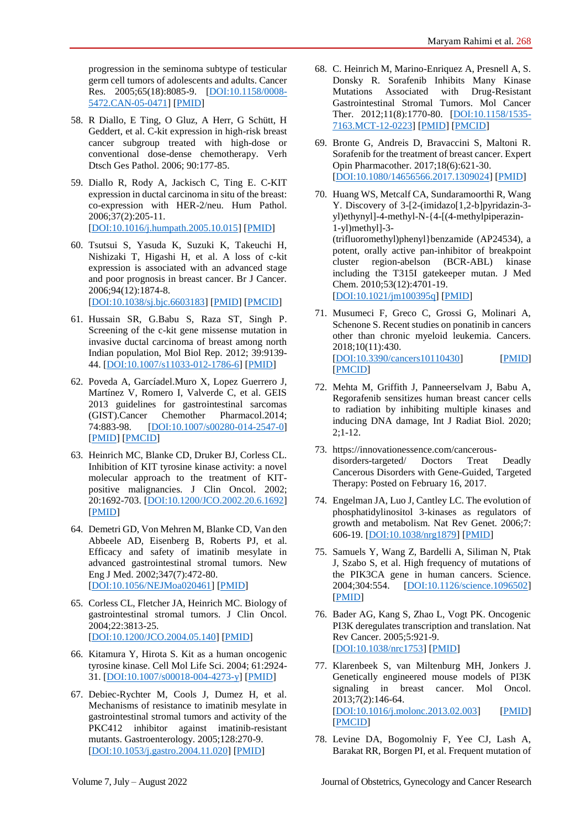progression in the seminoma subtype of testicular germ cell tumors of adolescents and adults. Cancer Res. 2005;65(18):8085-9. [\[DOI:10.1158/0008-](https://doi.org/10.1158/0008-5472.CAN-05-0471) [5472.CAN-05-0471\]](https://doi.org/10.1158/0008-5472.CAN-05-0471) [\[PMID\]](https://www.ncbi.nlm.nih.gov/pubmed/16166280)

- 58. R Diallo, E Ting, O Gluz, A Herr, G Schütt, H Geddert, et al. C-kit expression in high-risk breast cancer subgroup treated with high-dose or conventional dose-dense chemotherapy. Verh Dtsch Ges Pathol. 2006; 90:177-85.
- 59. Diallo R, Rody A, Jackisch C, Ting E. C-KIT expression in ductal carcinoma in situ of the breast: co-expression with HER-2/neu. Hum Pathol. 2006;37(2):205-11. [\[DOI:10.1016/j.humpath.2005.10.015\]](https://doi.org/10.1016/j.humpath.2005.10.015) [\[PMID\]](https://www.ncbi.nlm.nih.gov/pubmed/16426921)
- 60. Tsutsui S, Yasuda K, Suzuki K, Takeuchi H, Nishizaki T, Higashi H, et al. A loss of c-kit expression is associated with an advanced stage and poor prognosis in breast cancer. Br J Cancer. 2006;94(12):1874-8. [\[DOI:10.1038/sj.bjc.6603183\]](https://doi.org/10.1038/sj.bjc.6603183) [\[PMID\]](https://www.ncbi.nlm.nih.gov/pubmed/16721362) [\[PMCID\]](http://www.ncbi.nlm.nih.gov/pmc/articles/PMC2361342)
- 61. Hussain SR, G.Babu S, Raza ST, Singh P. Screening of the c-kit gene missense mutation in invasive ductal carcinoma of breast among north Indian population, Mol Biol Rep. 2012; 39:9139- 44. [\[DOI:10.1007/s11033-012-1786-6\]](https://doi.org/10.1007/s11033-012-1786-6) [\[PMID\]](https://www.ncbi.nlm.nih.gov/pubmed/22729910)
- 62. Poveda A, Garcíadel.Muro X, Lopez Guerrero J, Martínez V, Romero I, Valverde C, et al. GEIS 2013 guidelines for gastrointestinal sarcomas (GIST).Cancer Chemother Pharmacol.2014; 74:883-98. [\[DOI:10.1007/s00280-014-2547-0\]](https://doi.org/10.1007/s00280-014-2547-0) [\[PMID\]](https://www.ncbi.nlm.nih.gov/pubmed/25193432) [\[PMCID\]](http://www.ncbi.nlm.nih.gov/pmc/articles/PMC4209233)
- 63. Heinrich MC, Blanke CD, Druker BJ, Corless CL. Inhibition of KIT tyrosine kinase activity: a novel molecular approach to the treatment of KITpositive malignancies. J Clin Oncol. 2002; 20:1692-703. [\[DOI:10.1200/JCO.2002.20.6.1692\]](https://doi.org/10.1200/JCO.2002.20.6.1692) [\[PMID\]](https://www.ncbi.nlm.nih.gov/pubmed/11896121)
- 64. Demetri GD, Von Mehren M, Blanke CD, Van den Abbeele AD, Eisenberg B, Roberts PJ, et al. Efficacy and safety of imatinib mesylate in advanced gastrointestinal stromal tumors. New Eng J Med. 2002;347(7):472-80. [\[DOI:10.1056/NEJMoa020461\]](https://doi.org/10.1056/NEJMoa020461) [\[PMID\]](https://www.ncbi.nlm.nih.gov/pubmed/12181401)
- 65. Corless CL, Fletcher JA, Heinrich MC. Biology of gastrointestinal stromal tumors. J Clin Oncol. 2004;22:3813-25. [\[DOI:10.1200/JCO.2004.05.140\]](https://doi.org/10.1200/JCO.2004.05.140) [\[PMID\]](https://www.ncbi.nlm.nih.gov/pubmed/15365079)
- 66. Kitamura Y, Hirota S. Kit as a human oncogenic tyrosine kinase. Cell Mol Life Sci. 2004; 61:2924- 31. [\[DOI:10.1007/s00018-004-4273-y\]](https://doi.org/10.1007/s00018-004-4273-y) [\[PMID\]](https://www.ncbi.nlm.nih.gov/pubmed/15583854)
- 67. Debiec-Rychter M, Cools J, Dumez H, et al. Mechanisms of resistance to imatinib mesylate in gastrointestinal stromal tumors and activity of the PKC412 inhibitor against imatinib-resistant mutants. Gastroenterology. 2005;128:270-9. [\[DOI:10.1053/j.gastro.2004.11.020\]](https://doi.org/10.1053/j.gastro.2004.11.020) [\[PMID\]](https://www.ncbi.nlm.nih.gov/pubmed/15685537)
- 68. C. Heinrich M, Marino-Enriquez A, Presnell A, S. Donsky R. Sorafenib Inhibits Many Kinase Mutations Associated with Drug-Resistant Gastrointestinal Stromal Tumors. Mol Cancer Ther. 2012;11(8):1770-80. [\[DOI:10.1158/1535-](https://doi.org/10.1158/1535-7163.MCT-12-0223) [7163.MCT-12-0223\]](https://doi.org/10.1158/1535-7163.MCT-12-0223) [\[PMID\]](https://www.ncbi.nlm.nih.gov/pubmed/22665524) [\[PMCID\]](http://www.ncbi.nlm.nih.gov/pmc/articles/PMC3992122)
- 69. Bronte G, Andreis D, Bravaccini S, Maltoni R. Sorafenib for the treatment of breast cancer. Expert Opin Pharmacother. 2017;18(6):621-30. [\[DOI:10.1080/14656566.2017.1309024\]](https://doi.org/10.1080/14656566.2017.1309024) [\[PMID\]](https://www.ncbi.nlm.nih.gov/pubmed/28335647)
- 70. Huang WS, Metcalf CA, Sundaramoorthi R, Wang Y. Discovery of 3-[2-(imidazo[1,2-b]pyridazin-3yl)ethynyl]-4-methyl-N-{4-[(4-methylpiperazin-1-yl)methyl]-3- (trifluoromethyl)phenyl}benzamide (AP24534), a potent, orally active pan-inhibitor of breakpoint cluster region-abelson (BCR-ABL) kinase including the T315I gatekeeper mutan. J Med Chem. 2010;53(12):4701-19. [\[DOI:10.1021/jm100395q\]](https://doi.org/10.1021/jm100395q) [\[PMID\]](https://www.ncbi.nlm.nih.gov/pubmed/20513156)
- 71. Musumeci F, Greco C, Grossi G, Molinari A, Schenone S. Recent studies on ponatinib in cancers other than chronic myeloid leukemia. Cancers. 2018;10(11):430. [\[DOI:10.3390/cancers10110430\]](https://doi.org/10.3390/cancers10110430) [\[PMID\]](https://www.ncbi.nlm.nih.gov/pubmed/30423915) [\[PMCID\]](http://www.ncbi.nlm.nih.gov/pmc/articles/PMC6267038)
- 72. Mehta M, Griffith J, Panneerselvam J, Babu A, Regorafenib sensitizes human breast cancer cells to radiation by inhibiting multiple kinases and inducing DNA damage, Int J Radiat Biol. 2020; 2;1-12.
- 73. https://innovationessence.com/cancerousdisorders-targeted/ Doctors Treat Deadly Cancerous Disorders with Gene-Guided, Targeted Therapy: Posted on February 16, 2017.
- 74. Engelman JA, Luo J, Cantley LC. The evolution of phosphatidylinositol 3-kinases as regulators of growth and metabolism. Nat Rev Genet. 2006;7: 606-19. [\[DOI:10.1038/nrg1879\]](https://doi.org/10.1038/nrg1879) [\[PMID\]](https://www.ncbi.nlm.nih.gov/pubmed/16847462)
- 75. Samuels Y, Wang Z, Bardelli A, Siliman N, Ptak J, Szabo S, et al. High frequency of mutations of the PIK3CA gene in human cancers. Science. 2004;304:554. [\[DOI:10.1126/science.1096502\]](https://doi.org/10.1126/science.1096502) [\[PMID\]](https://www.ncbi.nlm.nih.gov/pubmed/15016963)
- 76. Bader AG, Kang S, Zhao L, Vogt PK. Oncogenic PI3K deregulates transcription and translation. Nat Rev Cancer. 2005;5:921-9. [\[DOI:10.1038/nrc1753\]](https://doi.org/10.1038/nrc1753) [\[PMID\]](https://www.ncbi.nlm.nih.gov/pubmed/16341083)
- 77. Klarenbeek S, van Miltenburg MH, Jonkers J. Genetically engineered mouse models of PI3K signaling in breast cancer. Mol Oncol. 2013;7(2):146-64. [\[DOI:10.1016/j.molonc.2013.02.003\]](https://doi.org/10.1016/j.molonc.2013.02.003) [\[PMID\]](https://www.ncbi.nlm.nih.gov/pubmed/23478237) [\[PMCID\]](http://www.ncbi.nlm.nih.gov/pmc/articles/PMC5528412)
- 78. Levine DA, Bogomolniy F, Yee CJ, Lash A, Barakat RR, Borgen PI, et al. Frequent mutation of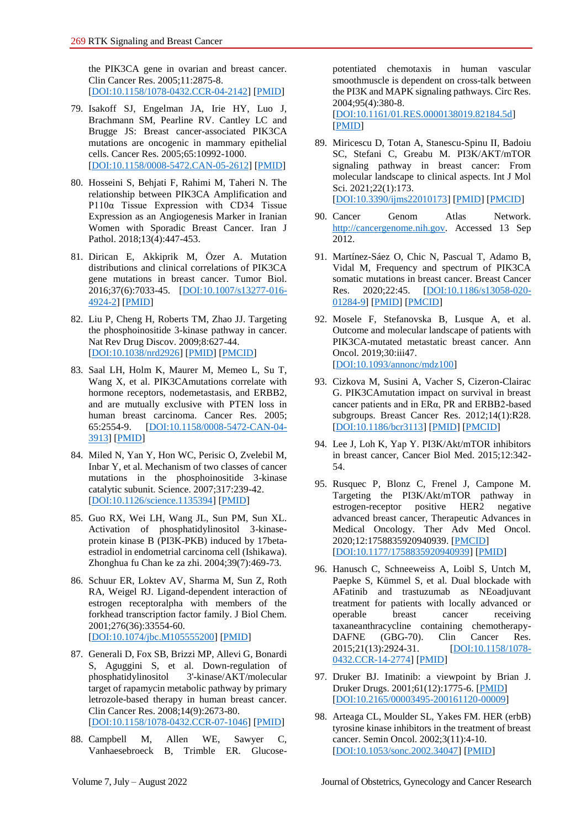the PIK3CA gene in ovarian and breast cancer. Clin Cancer Res. 2005;11:2875-8. [\[DOI:10.1158/1078-0432.CCR-04-2142\]](https://doi.org/10.1158/1078-0432.CCR-04-2142) [\[PMID\]](https://www.ncbi.nlm.nih.gov/pubmed/15837735)

- 79. Isakoff SJ, Engelman JA, Irie HY, Luo J, Brachmann SM, Pearline RV. Cantley LC and Brugge JS: Breast cancer-associated PIK3CA mutations are oncogenic in mammary epithelial cells. Cancer Res. 2005;65:10992-1000. [\[DOI:10.1158/0008-5472.CAN-05-2612\]](https://doi.org/10.1158/0008-5472.CAN-05-2612) [\[PMID\]](https://www.ncbi.nlm.nih.gov/pubmed/16322248)
- 80. Hosseini S, Behjati F, Rahimi M, Taheri N. The relationship between PIK3CA Amplification and P110α Tissue Expression with CD34 Tissue Expression as an Angiogenesis Marker in Iranian Women with Sporadic Breast Cancer. Iran J Pathol. 2018;13(4):447-453.
- 81. Dirican E, Akkiprik M, Özer A. Mutation distributions and clinical correlations of PIK3CA gene mutations in breast cancer. Tumor Biol. 2016;37(6):7033-45. [\[DOI:10.1007/s13277-016-](https://doi.org/10.1007/s13277-016-4924-2) [4924-2\]](https://doi.org/10.1007/s13277-016-4924-2) [\[PMID\]](https://www.ncbi.nlm.nih.gov/pubmed/26921096)
- 82. Liu P, Cheng H, Roberts TM, Zhao JJ. Targeting the phosphoinositide 3-kinase pathway in cancer. Nat Rev Drug Discov. 2009;8:627-44. [\[DOI:10.1038/nrd2926\]](https://doi.org/10.1038/nrd2926) [\[PMID\]](https://www.ncbi.nlm.nih.gov/pubmed/19644473) [\[PMCID\]](http://www.ncbi.nlm.nih.gov/pmc/articles/PMC3142564)
- 83. Saal LH, Holm K, Maurer M, Memeo L, Su T, Wang X, et al. PIK3CAmutations correlate with hormone receptors, nodemetastasis, and ERBB2, and are mutually exclusive with PTEN loss in human breast carcinoma. Cancer Res. 2005; 65:2554-9. [\[DOI:10.1158/0008-5472-CAN-04-](https://doi.org/10.1158/0008-5472-CAN-04-3913) [3913\]](https://doi.org/10.1158/0008-5472-CAN-04-3913) [\[PMID\]](https://www.ncbi.nlm.nih.gov/pubmed/15805248)
- 84. Miled N, Yan Y, Hon WC, Perisic O, Zvelebil M, Inbar Y, et al. Mechanism of two classes of cancer mutations in the phosphoinositide 3-kinase catalytic subunit. Science. 2007;317:239-42. [\[DOI:10.1126/science.1135394\]](https://doi.org/10.1126/science.1135394) [\[PMID\]](https://www.ncbi.nlm.nih.gov/pubmed/17626883)
- 85. Guo RX, Wei LH, Wang JL, Sun PM, Sun XL. Activation of phosphatidylinositol 3-kinaseprotein kinase B (PI3K-PKB) induced by 17betaestradiol in endometrial carcinoma cell (Ishikawa). Zhonghua fu Chan ke za zhi. 2004;39(7):469-73.
- 86. Schuur ER, Loktev AV, Sharma M, Sun Z, Roth RA, Weigel RJ. Ligand-dependent interaction of estrogen receptoralpha with members of the forkhead transcription factor family. J Biol Chem. 2001;276(36):33554-60. [\[DOI:10.1074/jbc.M105555200\]](https://doi.org/10.1074/jbc.M105555200) [\[PMID\]](https://www.ncbi.nlm.nih.gov/pubmed/11435445)
- 87. Generali D, Fox SB, Brizzi MP, Allevi G, Bonardi S, Aguggini S, et al. Down-regulation of phosphatidylinositol 3'-kinase/AKT/molecular target of rapamycin metabolic pathway by primary letrozole-based therapy in human breast cancer. Clin Cancer Res. 2008;14(9):2673-80. [\[DOI:10.1158/1078-0432.CCR-07-1046\]](https://doi.org/10.1158/1078-0432.CCR-07-1046) [\[PMID\]](https://www.ncbi.nlm.nih.gov/pubmed/18451231)
- 88. Campbell M, Allen WE, Sawyer C, Vanhaesebroeck B, Trimble ER. Glucose-

potentiated chemotaxis in human vascular smoothmuscle is dependent on cross-talk between the PI3K and MAPK signaling pathways. Circ Res. 2004;95(4):380-8.

[\[DOI:10.1161/01.RES.0000138019.82184.5d\]](https://doi.org/10.1161/01.RES.0000138019.82184.5d) [\[PMID\]](https://www.ncbi.nlm.nih.gov/pubmed/15242975)

- 89. Miricescu D, Totan A, Stanescu-Spinu II, Badoiu SC, Stefani C, Greabu M. PI3K/AKT/mTOR signaling pathway in breast cancer: From molecular landscape to clinical aspects. Int J Mol Sci. 2021;22(1):173. [\[DOI:10.3390/ijms22010173\]](https://doi.org/10.3390/ijms22010173) [\[PMID\]](https://www.ncbi.nlm.nih.gov/pubmed/33375317) [\[PMCID\]](http://www.ncbi.nlm.nih.gov/pmc/articles/PMC7796017)
- 90. Cancer Genom Atlas Network. [http://cancergenome.nih.gov.](http://cancergenome.nih.gov/) Accessed 13 Sep 2012.
- 91. Martínez-Sáez O, Chic N, Pascual T, Adamo B, Vidal M, Frequency and spectrum of PIK3CA somatic mutations in breast cancer. Breast Cancer Res. 2020;22:45. [\[DOI:10.1186/s13058-020-](https://doi.org/10.1186/s13058-020-01284-9) [01284-9\]](https://doi.org/10.1186/s13058-020-01284-9) [\[PMID\]](https://www.ncbi.nlm.nih.gov/pubmed/32404150) [\[PMCID\]](http://www.ncbi.nlm.nih.gov/pmc/articles/PMC7222307)
- 92. Mosele F, Stefanovska B, Lusque A, et al. Outcome and molecular landscape of patients with PIK3CA-mutated metastatic breast cancer. Ann Oncol. 2019;30:iii47. [\[DOI:10.1093/annonc/mdz100\]](https://doi.org/10.1093/annonc/mdz100)
- 93. Cizkova M, Susini A, Vacher S, Cizeron-Clairac G. PIK3CAmutation impact on survival in breast cancer patients and in ERα, PR and ERBB2-based subgroups. Breast Cancer Res. 2012;14(1):R28. [\[DOI:10.1186/bcr3113\]](https://doi.org/10.1186/bcr3113) [\[PMID\]](https://www.ncbi.nlm.nih.gov/pubmed/22330809) [\[PMCID\]](http://www.ncbi.nlm.nih.gov/pmc/articles/PMC3496146)
- 94. Lee J, Loh K, Yap Y. PI3K/Akt/mTOR inhibitors in breast cancer, Cancer Biol Med. 2015;12:342- 54.
- 95. Rusquec P, Blonz C, Frenel J, Campone M. Targeting the PI3K/Akt/mTOR pathway in estrogen-receptor positive HER2 negative advanced breast cancer, Therapeutic Advances in Medical Oncology. Ther Adv Med Oncol. 2020;12:1758835920940939. [\[PMCID\]](http://www.ncbi.nlm.nih.gov/pmc/articles/PMC7388095) [\[DOI:10.1177/1758835920940939\]](https://doi.org/10.1177/1758835920940939) [\[PMID\]](https://www.ncbi.nlm.nih.gov/pubmed/32782489)
- 96. Hanusch C, Schneeweiss A, Loibl S, Untch M, Paepke S, Kümmel S, et al. Dual blockade with AFatinib and trastuzumab as NEoadjuvant treatment for patients with locally advanced or operable breast cancer receiving taxaneanthracycline containing chemotherapy-DAFNE (GBG-70). Clin Cancer Res. 2015;21(13):2924-31. **[\[DOI:10.1158/1078-](https://doi.org/10.1158/1078-0432.CCR-14-2774)** [0432.CCR-14-2774\]](https://doi.org/10.1158/1078-0432.CCR-14-2774) [\[PMID\]](https://www.ncbi.nlm.nih.gov/pubmed/25825476)
- 97. Druker BJ. Imatinib: a viewpoint by Brian J. Druker Drugs. 2001;61(12):1775-6. [\[PMID\]](https://www.ncbi.nlm.nih.gov/pubmed/11735629) [\[DOI:10.2165/00003495-200161120-00009\]](https://doi.org/10.2165/00003495-200161120-00009)
- 98. Arteaga CL, Moulder SL, Yakes FM. HER (erbB) tyrosine kinase inhibitors in the treatment of breast cancer. Semin Oncol. 2002;3(11):4-10. [\[DOI:10.1053/sonc.2002.34047\]](https://doi.org/10.1053/sonc.2002.34047) [\[PMID\]](https://www.ncbi.nlm.nih.gov/pubmed/12138392)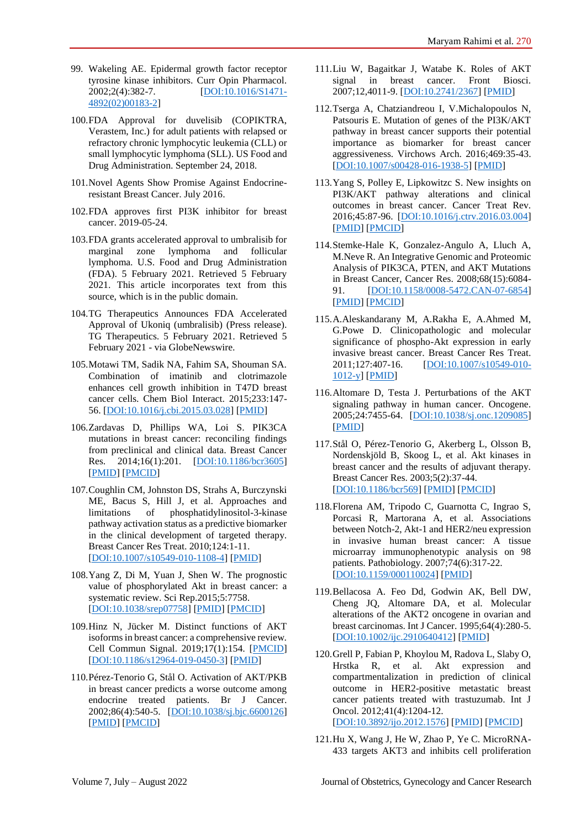- 99. Wakeling AE. Epidermal growth factor receptor tyrosine kinase inhibitors. Curr Opin Pharmacol. 2002;2(4):382-7. [\[DOI:10.1016/S1471-](https://doi.org/10.1016/S1471-4892(02)00183-2) [4892\(02\)00183-2\]](https://doi.org/10.1016/S1471-4892(02)00183-2)
- 100.FDA Approval for duvelisib (COPIKTRA, Verastem, Inc.) for adult patients with relapsed or refractory chronic lymphocytic leukemia (CLL) or small lymphocytic lymphoma (SLL). US Food and Drug Administration. September 24, 2018.
- 101.Novel Agents Show Promise Against Endocrineresistant Breast Cancer. July 2016.
- 102.FDA approves first PI3K inhibitor for breast cancer. 2019-05-24.
- 103.FDA grants accelerated approval to umbralisib for marginal zone lymphoma and follicular lymphoma. U.S. Food and Drug Administration (FDA). 5 February 2021. Retrieved 5 February 2021. This article incorporates text from this source, which is in the public domain.
- 104.TG Therapeutics Announces FDA Accelerated Approval of Ukoniq (umbralisib) (Press release). TG Therapeutics. 5 February 2021. Retrieved 5 February 2021 - via GlobeNewswire.
- 105.Motawi TM, Sadik NA, Fahim SA, Shouman SA. Combination of imatinib and clotrimazole enhances cell growth inhibition in T47D breast cancer cells. Chem Biol Interact. 2015;233:147- 56. [\[DOI:10.1016/j.cbi.2015.03.028\]](https://doi.org/10.1016/j.cbi.2015.03.028) [\[PMID\]](https://www.ncbi.nlm.nih.gov/pubmed/25863232)
- 106.Zardavas D, Phillips WA, Loi S. PIK3CA mutations in breast cancer: reconciling findings from preclinical and clinical data. Breast Cancer Res. 2014;16(1):201. [\[DOI:10.1186/bcr3605\]](https://doi.org/10.1186/bcr3605) [\[PMID\]](https://www.ncbi.nlm.nih.gov/pubmed/25192370) [\[PMCID\]](http://www.ncbi.nlm.nih.gov/pmc/articles/PMC4054885)
- 107.Coughlin CM, Johnston DS, Strahs A, Burczynski ME, Bacus S, Hill J, et al. Approaches and limitations of phosphatidylinositol-3-kinase pathway activation status as a predictive biomarker in the clinical development of targeted therapy. Breast Cancer Res Treat. 2010;124:1-11. [\[DOI:10.1007/s10549-010-1108-4\]](https://doi.org/10.1007/s10549-010-1108-4) [\[PMID\]](https://www.ncbi.nlm.nih.gov/pubmed/20803067)
- 108.Yang Z, Di M, Yuan J, Shen W. The prognostic value of phosphorylated Akt in breast cancer: a systematic review. Sci Rep.2015;5:7758. [\[DOI:10.1038/srep07758\]](https://doi.org/10.1038/srep07758) [\[PMID\]](https://www.ncbi.nlm.nih.gov/pubmed/25582346) [\[PMCID\]](http://www.ncbi.nlm.nih.gov/pmc/articles/PMC4291578)
- 109.Hinz N, Jücker M. Distinct functions of AKT isoforms in breast cancer: a comprehensive review. Cell Commun Signal. 2019;17(1):154. [\[PMCID\]](http://www.ncbi.nlm.nih.gov/pmc/articles/PMC6873690) [\[DOI:10.1186/s12964-019-0450-3\]](https://doi.org/10.1186/s12964-019-0450-3) [\[PMID\]](https://www.ncbi.nlm.nih.gov/pubmed/31752925)
- 110.Pérez-Tenorio G, Stål O. Activation of AKT/PKB in breast cancer predicts a worse outcome among endocrine treated patients. Br J Cancer. 2002;86(4):540-5. [\[DOI:10.1038/sj.bjc.6600126\]](https://doi.org/10.1038/sj.bjc.6600126) [\[PMID\]](https://www.ncbi.nlm.nih.gov/pubmed/11870534) [\[PMCID\]](http://www.ncbi.nlm.nih.gov/pmc/articles/PMC2375266)
- 111.Liu W, Bagaitkar J, Watabe K. Roles of AKT signal in breast cancer. Front Biosci. 2007;12,4011-9. [\[DOI:10.2741/2367\]](https://doi.org/10.2741/2367) [\[PMID\]](https://www.ncbi.nlm.nih.gov/pubmed/17485354)
- 112.Tserga A, Chatziandreou I, V.Michalopoulos N, Patsouris E. Mutation of genes of the PI3K/AKT pathway in breast cancer supports their potential importance as biomarker for breast cancer aggressiveness. Virchows Arch. 2016;469:35-43. [\[DOI:10.1007/s00428-016-1938-5\]](https://doi.org/10.1007/s00428-016-1938-5) [\[PMID\]](https://www.ncbi.nlm.nih.gov/pubmed/27059323)
- 113.Yang S, Polley E, Lipkowitzc S. New insights on PI3K/AKT pathway alterations and clinical outcomes in breast cancer. Cancer Treat Rev. 2016;45:87-96. [\[DOI:10.1016/j.ctrv.2016.03.004\]](https://doi.org/10.1016/j.ctrv.2016.03.004) [\[PMID\]](https://www.ncbi.nlm.nih.gov/pubmed/26995633) [\[PMCID\]](http://www.ncbi.nlm.nih.gov/pmc/articles/PMC7436195)
- 114.Stemke-Hale K, Gonzalez-Angulo A, Lluch A, M.Neve R. An Integrative Genomic and Proteomic Analysis of PIK3CA, PTEN, and AKT Mutations in Breast Cancer, Cancer Res. 2008;68(15):6084- 91. [\[DOI:10.1158/0008-5472.CAN-07-6854\]](https://doi.org/10.1158/0008-5472.CAN-07-6854) [\[PMID\]](https://www.ncbi.nlm.nih.gov/pubmed/18676830) [\[PMCID\]](http://www.ncbi.nlm.nih.gov/pmc/articles/PMC2680495)
- 115.A.Aleskandarany M, A.Rakha E, A.Ahmed M, G.Powe D. Clinicopathologic and molecular significance of phospho-Akt expression in early invasive breast cancer. Breast Cancer Res Treat. 2011;127:407-16. [\[DOI:10.1007/s10549-010-](https://doi.org/10.1007/s10549-010-1012-y) [1012-y\]](https://doi.org/10.1007/s10549-010-1012-y) [\[PMID\]](https://www.ncbi.nlm.nih.gov/pubmed/20617378)
- 116.Altomare D, Testa J. Perturbations of the AKT signaling pathway in human cancer. Oncogene. 2005;24:7455-64. [\[DOI:10.1038/sj.onc.1209085\]](https://doi.org/10.1038/sj.onc.1209085) [\[PMID\]](https://www.ncbi.nlm.nih.gov/pubmed/16288292)
- 117.Stål O, Pérez-Tenorio G, Akerberg L, Olsson B, Nordenskjöld B, Skoog L, et al. Akt kinases in breast cancer and the results of adjuvant therapy. Breast Cancer Res. 2003;5(2):37-44. [\[DOI:10.1186/bcr569\]](https://doi.org/10.1186/bcr569) [\[PMID\]](https://www.ncbi.nlm.nih.gov/pubmed/12631397) [\[PMCID\]](http://www.ncbi.nlm.nih.gov/pmc/articles/PMC154147)
- 118.Florena AM, Tripodo C, Guarnotta C, Ingrao S, Porcasi R, Martorana A, et al. Associations between Notch-2, Akt-1 and HER2/neu expression in invasive human breast cancer: A tissue microarray immunophenotypic analysis on 98 patients. Pathobiology. 2007;74(6):317-22. [\[DOI:10.1159/000110024\]](https://doi.org/10.1159/000110024) [\[PMID\]](https://www.ncbi.nlm.nih.gov/pubmed/18087195)
- 119.Bellacosa A. Feo Dd, Godwin AK, Bell DW, Cheng JQ, Altomare DA, et al. Molecular alterations of the AKT2 oncogene in ovarian and breast carcinomas. Int J Cancer. 1995;64(4):280-5. [\[DOI:10.1002/ijc.2910640412\]](https://doi.org/10.1002/ijc.2910640412) [\[PMID\]](https://www.ncbi.nlm.nih.gov/pubmed/7657393)
- 120.Grell P, Fabian P, Khoylou M, Radova L, Slaby O, Hrstka R, et al. Akt expression and compartmentalization in prediction of clinical outcome in HER2-positive metastatic breast cancer patients treated with trastuzumab. Int J Oncol. 2012;41(4):1204-12. [\[DOI:10.3892/ijo.2012.1576\]](https://doi.org/10.3892/ijo.2012.1576) [\[PMID\]](https://www.ncbi.nlm.nih.gov/pubmed/22842582) [\[PMCID\]](http://www.ncbi.nlm.nih.gov/pmc/articles/PMC3583615)
- 121.Hu X, Wang J, He W, Zhao P, Ye C. MicroRNA-433 targets AKT3 and inhibits cell proliferation